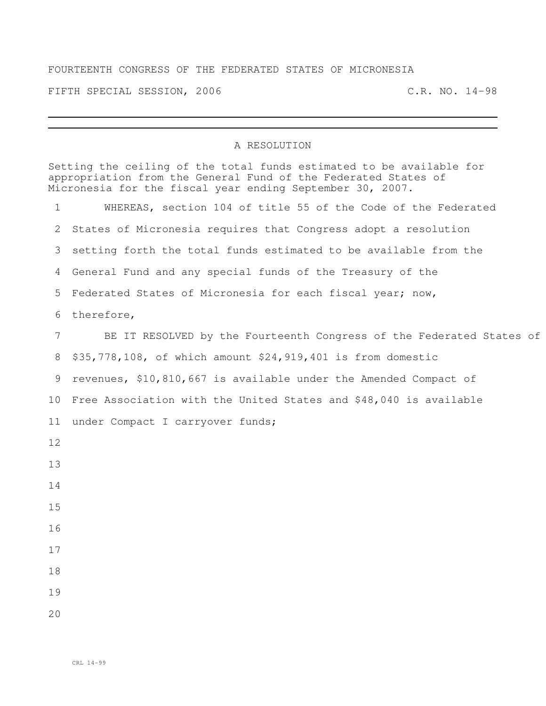## FOURTEENTH CONGRESS OF THE FEDERATED STATES OF MICRONESIA

FIFTH SPECIAL SESSION, 2006 C.R. NO. 14-98

## A RESOLUTION

|                 | Setting the ceiling of the total funds estimated to be available for<br>appropriation from the General Fund of the Federated States of<br>Micronesia for the fiscal year ending September 30, 2007. |  |
|-----------------|-----------------------------------------------------------------------------------------------------------------------------------------------------------------------------------------------------|--|
| $\mathbf{1}$    | WHEREAS, section 104 of title 55 of the Code of the Federated                                                                                                                                       |  |
|                 | 2 States of Micronesia requires that Congress adopt a resolution                                                                                                                                    |  |
|                 | 3 setting forth the total funds estimated to be available from the                                                                                                                                  |  |
|                 | 4 General Fund and any special funds of the Treasury of the                                                                                                                                         |  |
|                 | 5 Federated States of Micronesia for each fiscal year; now,                                                                                                                                         |  |
|                 | 6 therefore,                                                                                                                                                                                        |  |
| $7\overline{ }$ | BE IT RESOLVED by the Fourteenth Congress of the Federated States of                                                                                                                                |  |
|                 | 8 \$35,778,108, of which amount \$24,919,401 is from domestic                                                                                                                                       |  |
|                 | 9 revenues, \$10,810,667 is available under the Amended Compact of                                                                                                                                  |  |
|                 | 10 Free Association with the United States and \$48,040 is available                                                                                                                                |  |
|                 | 11 under Compact I carryover funds;                                                                                                                                                                 |  |
| 12              |                                                                                                                                                                                                     |  |
| 13              |                                                                                                                                                                                                     |  |
| 14              |                                                                                                                                                                                                     |  |
| 15              |                                                                                                                                                                                                     |  |
| 16              |                                                                                                                                                                                                     |  |
| 17              |                                                                                                                                                                                                     |  |
| 18              |                                                                                                                                                                                                     |  |
| 19              |                                                                                                                                                                                                     |  |
| 20              |                                                                                                                                                                                                     |  |